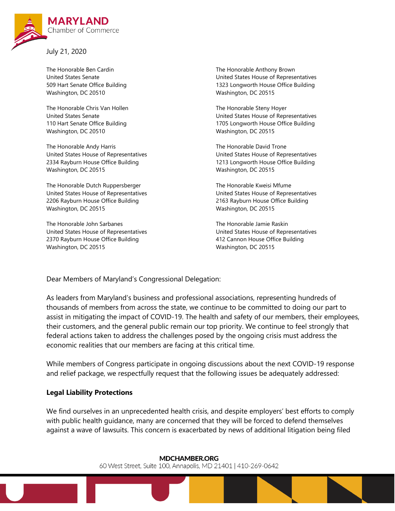

July 21, 2020

The Honorable Ben Cardin United States Senate 509 Hart Senate Office Building Washington, DC 20510

The Honorable Chris Van Hollen United States Senate 110 Hart Senate Office Building Washington, DC 20510

The Honorable Andy Harris United States House of Representatives 2334 Rayburn House Office Building Washington, DC 20515

The Honorable Dutch Ruppersberger United States House of Representatives 2206 Rayburn House Office Building Washington, DC 20515

The Honorable John Sarbanes United States House of Representatives 2370 Rayburn House Office Building Washington, DC 20515

The Honorable Anthony Brown United States House of Representatives 1323 Longworth House Office Building Washington, DC 20515

The Honorable Steny Hoyer United States House of Representatives 1705 Longworth House Office Building Washington, DC 20515

The Honorable David Trone United States House of Representatives 1213 Longworth House Office Building Washington, DC 20515

The Honorable Kweisi Mfume United States House of Representatives 2163 Rayburn House Office Building Washington, DC 20515

The Honorable Jamie Raskin United States House of Representatives 412 Cannon House Office Building Washington, DC 20515

Dear Members of Maryland's Congressional Delegation:

As leaders from Maryland's business and professional associations, representing hundreds of thousands of members from across the state, we continue to be committed to doing our part to assist in mitigating the impact of COVID-19. The health and safety of our members, their employees, their customers, and the general public remain our top priority. We continue to feel strongly that federal actions taken to address the challenges posed by the ongoing crisis must address the economic realities that our members are facing at this critical time.

While members of Congress participate in ongoing discussions about the next COVID-19 response and relief package, we respectfully request that the following issues be adequately addressed:

## **Legal Liability Protections**

We find ourselves in an unprecedented health crisis, and despite employers' best efforts to comply with public health guidance, many are concerned that they will be forced to defend themselves against a wave of lawsuits. This concern is exacerbated by news of additional litigation being filed

**MDCHAMBER.ORG** 

60 West Street, Suite 100, Annapolis, MD 21401 | 410-269-0642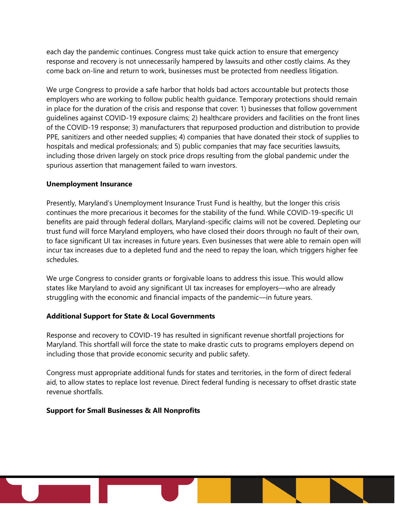each day the pandemic continues. Congress must take quick action to ensure that emergency response and recovery is not unnecessarily hampered by lawsuits and other costly claims. As they come back on-line and return to work, businesses must be protected from needless litigation.

We urge Congress to provide a safe harbor that holds bad actors accountable but protects those employers who are working to follow public health guidance. Temporary protections should remain in place for the duration of the crisis and response that cover: 1) businesses that follow government guidelines against COVID-19 exposure claims; 2) healthcare providers and facilities on the front lines of the COVID-19 response; 3) manufacturers that repurposed production and distribution to provide PPE, sanitizers and other needed supplies; 4) companies that have donated their stock of supplies to hospitals and medical professionals; and 5) public companies that may face securities lawsuits, including those driven largely on stock price drops resulting from the global pandemic under the spurious assertion that management failed to warn investors.

#### **Unemployment Insurance**

Presently, Maryland's Unemployment Insurance Trust Fund is healthy, but the longer this crisis continues the more precarious it becomes for the stability of the fund. While COVID-19-specific UI benefits are paid through federal dollars, Maryland-specific claims will not be covered. Depleting our trust fund will force Maryland employers, who have closed their doors through no fault of their own, to face significant UI tax increases in future years. Even businesses that were able to remain open will incur tax increases due to a depleted fund and the need to repay the loan, which triggers higher fee schedules.

We urge Congress to consider grants or forgivable loans to address this issue. This would allow states like Maryland to avoid any significant UI tax increases for employers—who are already struggling with the economic and financial impacts of the pandemic—in future years.

## **Additional Support for State & Local Governments**

Response and recovery to COVID-19 has resulted in significant revenue shortfall projections for Maryland. This shortfall will force the state to make drastic cuts to programs employers depend on including those that provide economic security and public safety.

Congress must appropriate additional funds for states and territories, in the form of direct federal aid, to allow states to replace lost revenue. Direct federal funding is necessary to offset drastic state revenue shortfalls.

#### **Support for Small Businesses & All Nonprofits**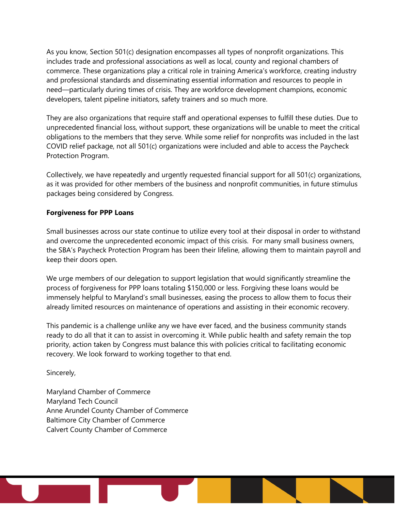As you know, Section 501(c) designation encompasses all types of nonprofit organizations. This includes trade and professional associations as well as local, county and regional chambers of commerce. These organizations play a critical role in training America's workforce, creating industry and professional standards and disseminating essential information and resources to people in need—particularly during times of crisis. They are workforce development champions, economic developers, talent pipeline initiators, safety trainers and so much more.

They are also organizations that require staff and operational expenses to fulfill these duties. Due to unprecedented financial loss, without support, these organizations will be unable to meet the critical obligations to the members that they serve. While some relief for nonprofits was included in the last COVID relief package, not all 501(c) organizations were included and able to access the Paycheck Protection Program.

Collectively, we have repeatedly and urgently requested financial support for all 501(c) organizations, as it was provided for other members of the business and nonprofit communities, in future stimulus packages being considered by Congress.

# **Forgiveness for PPP Loans**

Small businesses across our state continue to utilize every tool at their disposal in order to withstand and overcome the unprecedented economic impact of this crisis. For many small business owners, the SBA's Paycheck Protection Program has been their lifeline, allowing them to maintain payroll and keep their doors open.

We urge members of our delegation to support legislation that would significantly streamline the process of forgiveness for PPP loans totaling \$150,000 or less. Forgiving these loans would be immensely helpful to Maryland's small businesses, easing the process to allow them to focus their already limited resources on maintenance of operations and assisting in their economic recovery.

This pandemic is a challenge unlike any we have ever faced, and the business community stands ready to do all that it can to assist in overcoming it. While public health and safety remain the top priority, action taken by Congress must balance this with policies critical to facilitating economic recovery. We look forward to working together to that end.

Sincerely,

Maryland Chamber of Commerce Maryland Tech Council Anne Arundel County Chamber of Commerce Baltimore City Chamber of Commerce Calvert County Chamber of Commerce